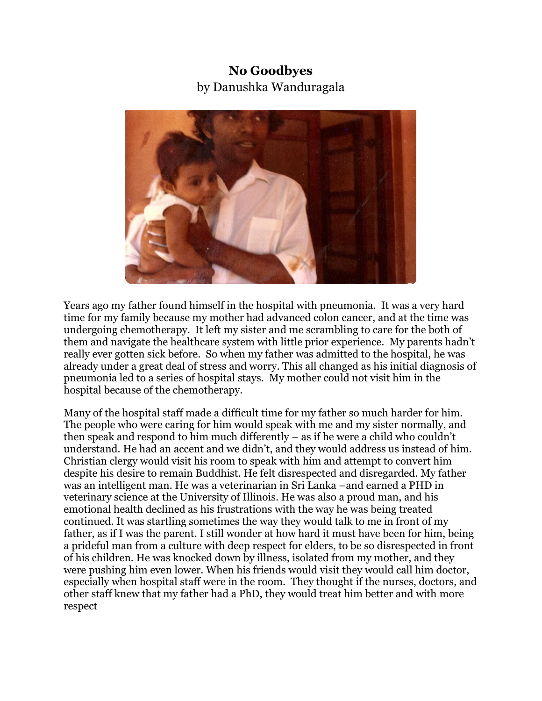## **No Goodbyes**  by Danushka Wanduragala



Years ago my father found himself in the hospital with pneumonia. It was a very hard time for my family because my mother had advanced colon cancer, and at the time was undergoing chemotherapy. It left my sister and me scrambling to care for the both of them and navigate the healthcare system with little prior experience. My parents hadn't really ever gotten sick before. So when my father was admitted to the hospital, he was already under a great deal of stress and worry. This all changed as his initial diagnosis of pneumonia led to a series of hospital stays. My mother could not visit him in the hospital because of the chemotherapy.

Many of the hospital staff made a difficult time for my father so much harder for him. The people who were caring for him would speak with me and my sister normally, and then speak and respond to him much differently – as if he were a child who couldn't understand. He had an accent and we didn't, and they would address us instead of him. Christian clergy would visit his room to speak with him and attempt to convert him despite his desire to remain Buddhist. He felt disrespected and disregarded. My father was an intelligent man. He was a veterinarian in Sri Lanka –and earned a PHD in veterinary science at the University of Illinois. He was also a proud man, and his emotional health declined as his frustrations with the way he was being treated continued. It was startling sometimes the way they would talk to me in front of my father, as if I was the parent. I still wonder at how hard it must have been for him, being a prideful man from a culture with deep respect for elders, to be so disrespected in front of his children. He was knocked down by illness, isolated from my mother, and they were pushing him even lower. When his friends would visit they would call him doctor, especially when hospital staff were in the room. They thought if the nurses, doctors, and other staff knew that my father had a PhD, they would treat him better and with more respect